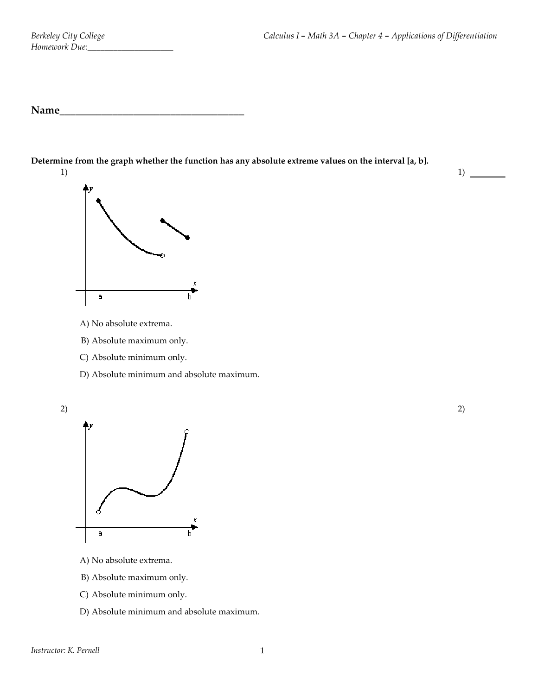1)

**Determine from the graph whether the function has any absolute extreme values on the interval [a, b].**





- A) No absolute extrema.
- B) Absolute maximum only.
- C) Absolute minimum only.
- D) Absolute minimum and absolute maximum.





- A) No absolute extrema.
- B) Absolute maximum only.
- C) Absolute minimum only.
- D) Absolute minimum and absolute maximum.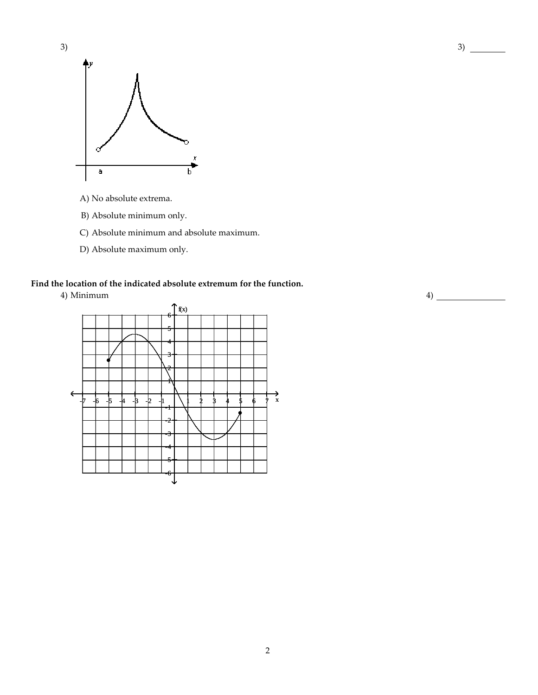

- A) No absolute extrema.
- B) Absolute minimum only.
- C) Absolute minimum and absolute maximum.
- D) Absolute maximum only.

## **Find the location of the indicated absolute extremum for the function.**

4) Minimum



2

4)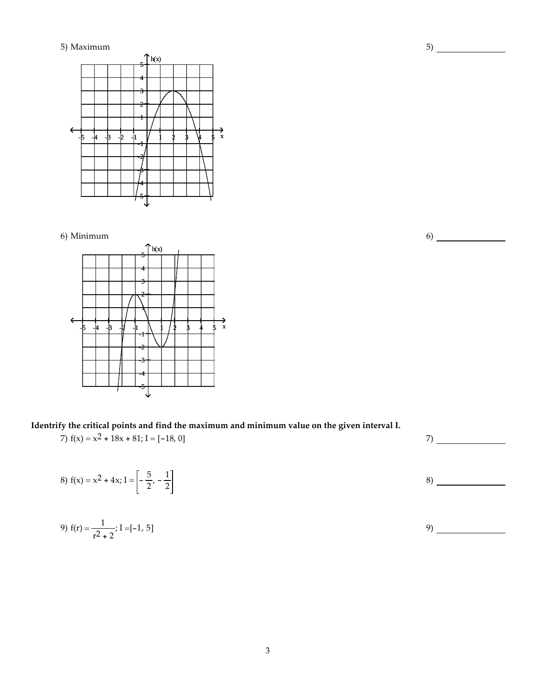

6) Minimum



**Identrify the critical points and find the maximum and minimum value on the given interval I.**

7)  $f(x) = x^2 + 18x + 81; I = [-18, 0]$  7)

8)  $f(x) = x^2 + 4x; I = \left| -\frac{5}{2}, -\frac{1}{2} \right|$  $\frac{1}{2}$  8)

9) 
$$
f(r) = \frac{1}{r^2 + 2}
$$
; I = [-1, 5]

6)

5)

3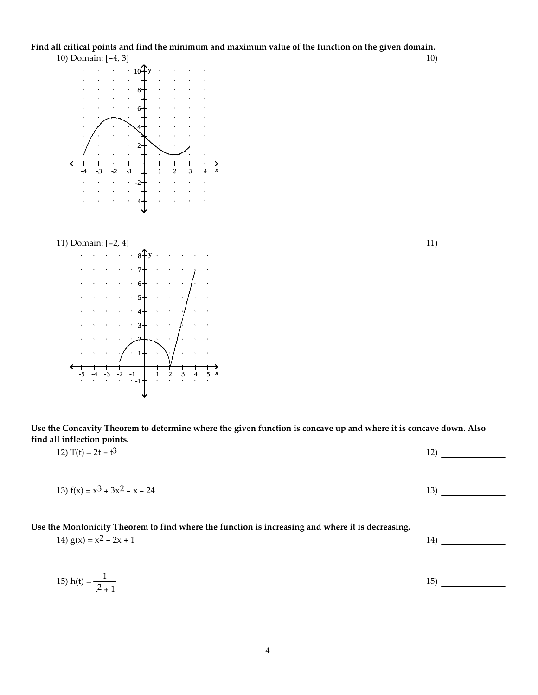Find all critical points and find the minimum and maximum value of the function on the given domain. 10) Domain: [-4, 3] 10)







Use the Concavity Theorem to determine where the given function is concave up and where it is concave down. Also **find all inflection points.**

| 12) T(t) = $2t - t^3$                                                                                                         | 12) |
|-------------------------------------------------------------------------------------------------------------------------------|-----|
| 13) $f(x) = x^3 + 3x^2 - x - 24$                                                                                              | 13) |
| Use the Montonicity Theorem to find where the function is increasing and where it is decreasing.<br>14) $g(x) = x^2 - 2x + 1$ | 14) |
| 15) h(t) = $\frac{1}{t^2 + 1}$                                                                                                | 15) |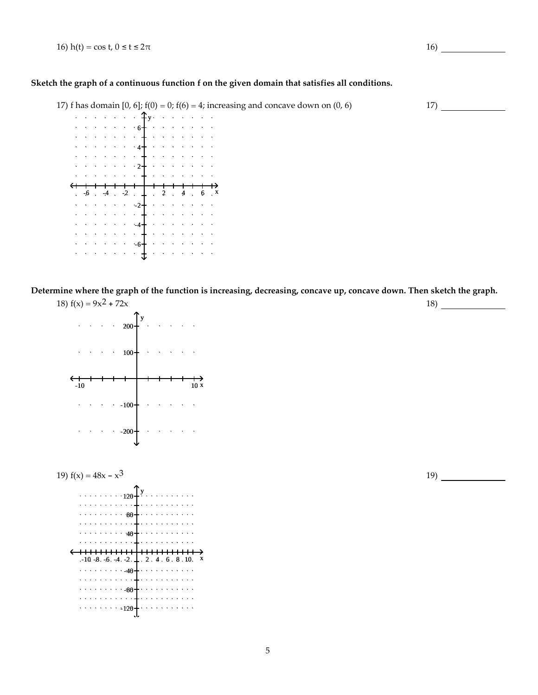16) h(t) = cos t,  $0 \le t \le 2\pi$  16)

## **Sketch the graph of a continuous function f on the given domain that satisfies all conditions.**

17) f has domain [0, 6];  $f(0) = 0$ ;  $f(6) = 4$ ; increasing and concave down on (0, 6) 17)



Determine where the graph of the function is increasing, decreasing, concave up, concave down. Then sketch the graph.





19)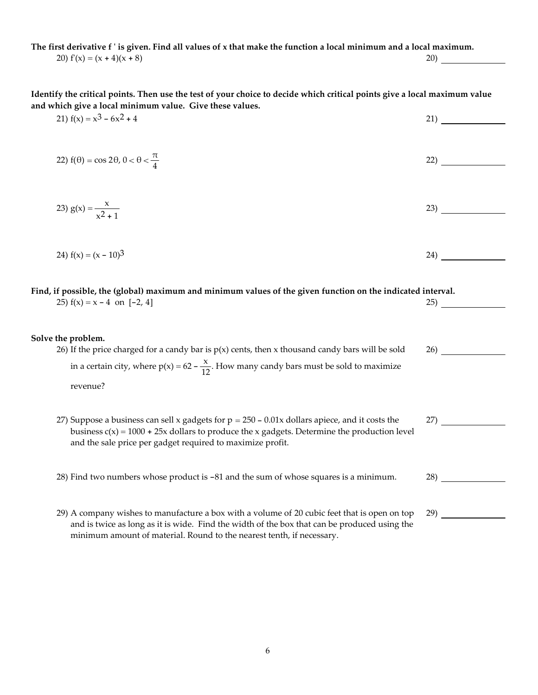The first derivative f' is given. Find all values of x that make the function a local minimum and a local maximum. 20)  $f'(x) = (x + 4)(x + 8)$  20)

Identify the critical points. Then use the test of your choice to decide which critical points give a local maximum value **and which give a local minimum value. Give these values.**

21)  $f(x) = x^3 - 6x^2 + 4$  21) 22)  $f(\theta) = \cos 2\theta$ ,  $0 < \theta < \frac{\pi}{4}$  $\frac{1}{4}$  22) 23)  $g(x) = \frac{x}{2}$  $x^2 + 1$ 23) 24)  $f(x) = (x - 10)^3$  24) Find, if possible, the (global) maximum and minimum values of the given function on the indicated interval. 25)  $f(x) = x - 4$  on  $[-2, 4]$  25 **Solve the problem.** 26) If the price charged for a candy bar is  $p(x)$  cents, then x thousand candy bars will be sold in a certain city, where  $p(x) = 62 - \frac{x}{12}$ . How many candy bars must be sold to maximize revenue? 26) 27) Suppose a business can sell x gadgets for  $p = 250 - 0.01x$  dollars apiece, and it costs the 27)

business  $c(x) = 1000 + 25x$  dollars to produce the x gadgets. Determine the production level and the sale price per gadget required to maximize profit.

28) Find two numbers whose product is -81 and the sum of whose squares is a minimum. 28) 28

29) A company wishes to manufacture a box with a volume of 20 cubic feet that is open on top and is twice as long as it is wide. Find the width of the box that can be produced using the minimum amount of material. Round to the nearest tenth, if necessary. 29)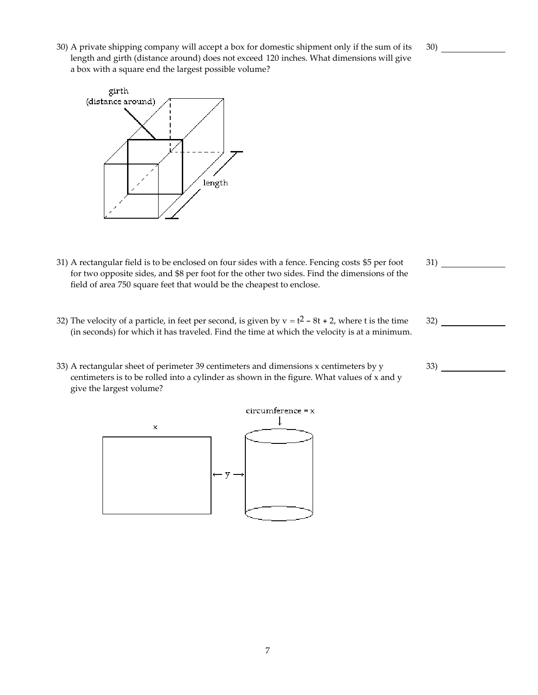- 30)
- 30) A private shipping company will accept a box for domestic shipment only if the sum of its length and girth (distance around) does not exceed 120 inches. What dimensions will give a box with a square end the largest possible volume?



- 31) A rectangular field is to be enclosed on four sides with a fence. Fencing costs \$5 per foot for two opposite sides, and \$8 per foot for the other two sides. Find the dimensions of the field of area 750 square feet that would be the cheapest to enclose.
- 32) The velocity of a particle, in feet per second, is given by  $v = t^2 8t + 2$ , where t is the time (in seconds) for which it has traveled. Find the time at which the velocity is at a minimum.
- 33) A rectangular sheet of perimeter 39 centimeters and dimensions x centimeters by y centimeters is to be rolled into a cylinder as shown in the figure. What values of x and y give the largest volume?



- 31)
- 32)
	- $33)$  —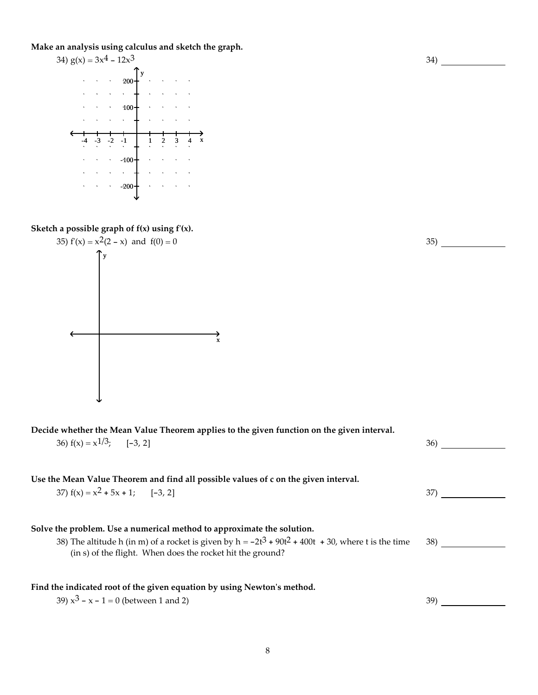**Make an analysis using calculus and sketch the graph.**



**Sketch a possible graph of f(x) using fʹ(x).**



**Decide whether the Mean Value Theorem applies to the given function on the given interval.**

| 36) $f(x) = x^{1/3}$ ; [-3, 2]                                                                                                                                                                                                                  | 36) |
|-------------------------------------------------------------------------------------------------------------------------------------------------------------------------------------------------------------------------------------------------|-----|
| Use the Mean Value Theorem and find all possible values of c on the given interval.<br>37) $f(x) = x^2 + 5x + 1$ ; [-3, 2]                                                                                                                      | 37) |
| Solve the problem. Use a numerical method to approximate the solution.<br>38) The altitude h (in m) of a rocket is given by $h = -2t^3 + 90t^2 + 400t + 30$ , where t is the time<br>(in s) of the flight. When does the rocket hit the ground? | 38) |
| Find the indicated root of the given equation by using Newton's method.<br>39) $x^3 - x - 1 = 0$ (between 1 and 2)                                                                                                                              | 39) |

35)

34)

8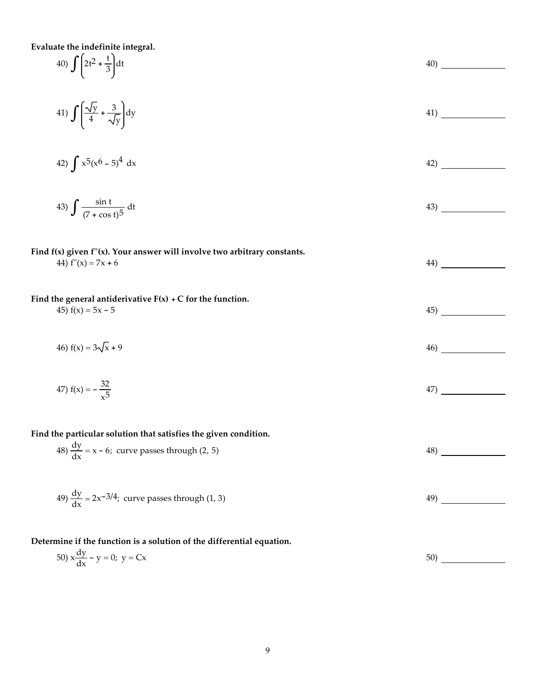| Evaluate the indefinite integral.                                                                       |     |
|---------------------------------------------------------------------------------------------------------|-----|
| 40) $\int \left(2t^2 + \frac{t}{3}\right) dt$                                                           | 40) |
| 41) $\int \left(\frac{\sqrt{y}}{4} + \frac{3}{\sqrt{y}}\right) dy$                                      | 41) |
| 42) $\int x^5 (x^6 - 5)^4 dx$                                                                           | 42) |
| 43) $\int \frac{\sin t}{(7 + \cos t)^5} dt$                                                             | 43) |
| Find $f(x)$ given $f''(x)$ . Your answer will involve two arbitrary constants.<br>44) $f''(x) = 7x + 6$ | 44) |
| Find the general antiderivative $F(x) + C$ for the function.<br>45) $f(x) = 5x - 5$                     | 45) |
| 46) $f(x) = 3\sqrt{x} + 9$                                                                              | 46) |
| 47) $f(x) = -\frac{32}{\sqrt{5}}$                                                                       | 47) |
| Find the particular solution that satisfies the given condition.                                        |     |
| 48) $\frac{dy}{dx}$ = x – 6; curve passes through (2, 5)                                                | 48) |
| 49) $\frac{dy}{dx}$ = 2x <sup>-3/4</sup> ; curve passes through (1, 3)                                  | 49) |
| Determine if the function is a solution of the differential equation.                                   |     |
| 50) $x \frac{dy}{dx} - y = 0$ ; $y = Cx$                                                                | 50) |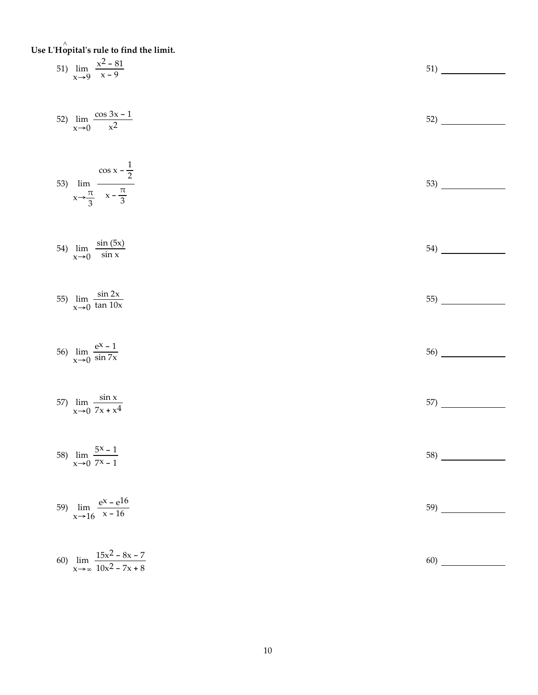**Use L ʹHo**^ **pital ʹ s rule to find the limit.**

| 51) $\lim_{x\to 9} \frac{x^2 - 81}{x - 9}$                                      | 51) |
|---------------------------------------------------------------------------------|-----|
| 52) $\lim_{x \to 0} \frac{\cos 3x - 1}{x^2}$                                    |     |
| 53) $\lim_{x \to \frac{\pi}{3}} \frac{\cos x - \frac{1}{2}}{x - \frac{\pi}{3}}$ | 53) |
| 54) $\lim_{x\to 0} \frac{\sin(5x)}{\sin x}$                                     | 54) |
| 55) $\lim_{x\to 0} \frac{\sin 2x}{\tan 10x}$                                    | 55) |
| 56) $\lim_{x \to 0} \frac{e^{x} - 1}{\sin 7x}$                                  | 56) |
| 57) $\lim_{x \to 0} \frac{\sin x}{7x + x^4}$                                    | 57) |
| 58) $\lim_{x\to 0} \frac{5x-1}{7x-1}$                                           | 58) |
| 59) $\lim_{x \to 16} \frac{e^{x} - e^{16}}{x - 16}$                             | 59) |
| 60) $\lim_{x \to \infty} \frac{15x^2 - 8x - 7}{10x^2 - 7x + 8}$                 | 60) |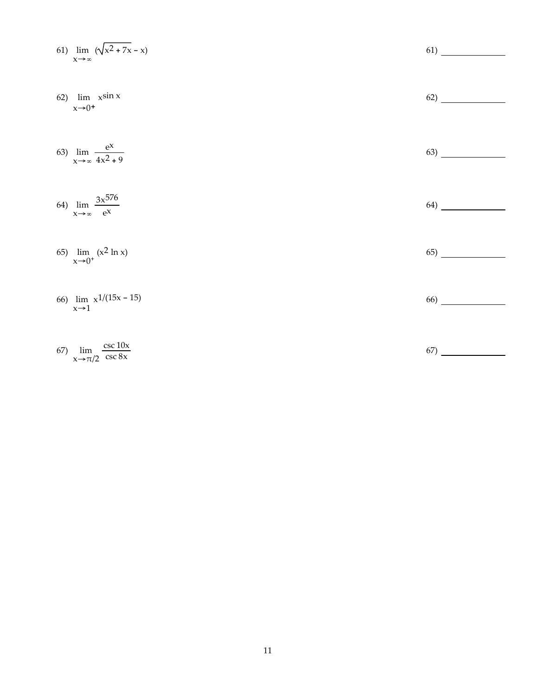61) 
$$
\lim_{x \to \infty} (\sqrt{x^2 + 7x} - x)
$$
  
\n62)  $\lim_{x \to \infty} x \sin x$   
\n63)  $\lim_{x \to \infty} \frac{e^x}{4x^2 + 9}$   
\n64)  $\lim_{x \to \infty} \frac{3x^{576}}{e^x}$   
\n65)  $\lim_{x \to 0^+} (x^2 \ln x)$   
\n66)  $\lim_{x \to 1} x^{1/(15x - 15)}$   
\n67)  $\lim_{x \to \pi/2} \frac{\csc 10x}{\csc 8x}$   
\n68)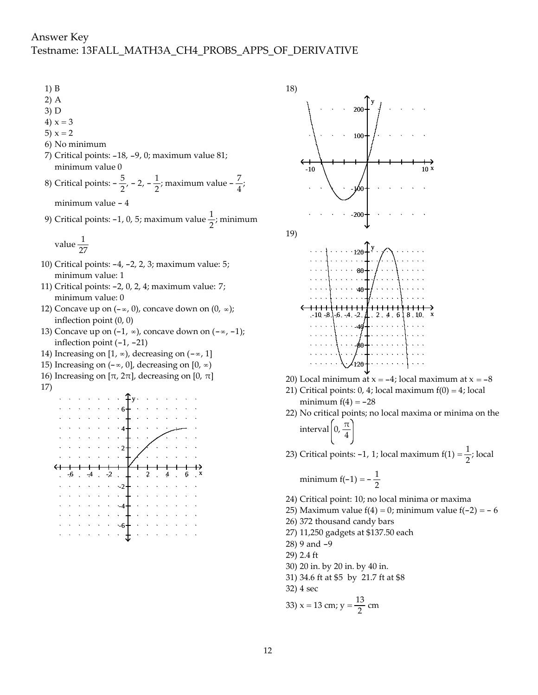- 1) B
- 2) A
- 3) D
- 4)  $x = 3$
- 5)  $x = 2$
- 6) No minimum
- 7) Critical points: -18, -9, 0; maximum value 81; minimum value 0
- 8) Critical points:  $-\frac{5}{2}$ ,  $-2$ ,  $-\frac{1}{2}$ ; maximum value  $-\frac{7}{4}$ ;

minimum value - 4

9) Critical points: -1, 0, 5; maximum value  $\frac{1}{2}$ ; minimum

value 
$$
\frac{1}{27}
$$

- 10) Critical points: -4, -2, 2, 3; maximum value: 5; minimum value: 1
- 11) Critical points: -2, 0, 2, 4; maximum value: 7; minimum value: 0
- 12) Concave up on  $(-\infty, 0)$ , concave down on  $(0, \infty)$ ; inflection point (0, 0)
- 13) Concave up on  $(-1, \infty)$ , concave down on  $(-\infty, -1)$ ; inflection point (-1, -21)
- 14) Increasing on  $[1, \infty)$ , decreasing on  $(-\infty, 1]$
- 15) Increasing on  $(-\infty, 0]$ , decreasing on  $[0, \infty)$
- 16) Increasing on  $[\pi, 2\pi]$ , decreasing on  $[0, \pi]$
- 17)







- 20) Local minimum at  $x = -4$ ; local maximum at  $x = -8$
- 21) Critical points:  $0, 4$ ; local maximum  $f(0) = 4$ ; local minimum  $f(4) = -28$
- 22) No critical points; no local maxima or minima on the interval  $\left(0, \frac{\pi}{4}\right)$
- 23) Critical points: -1, 1; local maximum  $f(1) = \frac{1}{2}$ ; local

$$
minimum f(-1) = -\frac{1}{2}
$$

- 24) Critical point: 10; no local minima or maxima
- 25) Maximum value  $f(4) = 0$ ; minimum value  $f(-2) = -6$
- 26) 372 thousand candy bars
- 27) 11,250 gadgets at \$137.50 each
- 28) 9 and -9
- 29) 2.4 ft
- 30) 20 in. by 20 in. by 40 in.
- 31) 34.6 ft at \$5 by 21.7 ft at \$8
- 32) 4 sec

33) 
$$
x = 13
$$
 cm;  $y = \frac{13}{2}$  cm